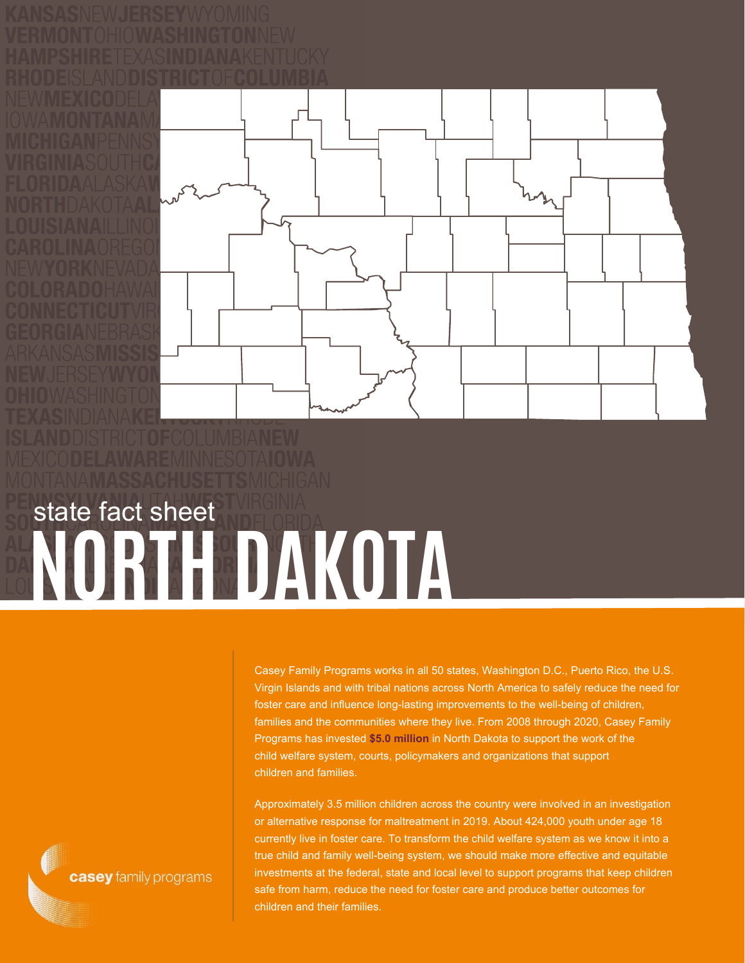

## **NORTH DAKOTA** state fact sheet

Casey Family Programs works in all 50 states, Washington D.C., Puerto Rico, the U.S. Virgin Islands and with tribal nations across North America to safely reduce the need for foster care and influence long-lasting improvements to the well-being of children, families and the communities where they live. From 2008 through 2020, Casey Family Programs has invested **\$5.0 million** in North Dakota to support the work of the child welfare system, courts, policymakers and organizations that support children and families.

Approximately 3.5 million children across the country were involved in an investigation or alternative response for maltreatment in 2019. About 424,000 youth under age 18 currently live in foster care. To transform the child welfare system as we know it into a true child and family well-being system, we should make more effective and equitable investments at the federal, state and local level to support programs that keep children safe from harm, reduce the need for foster care and produce better outcomes for children and their families.

casey family programs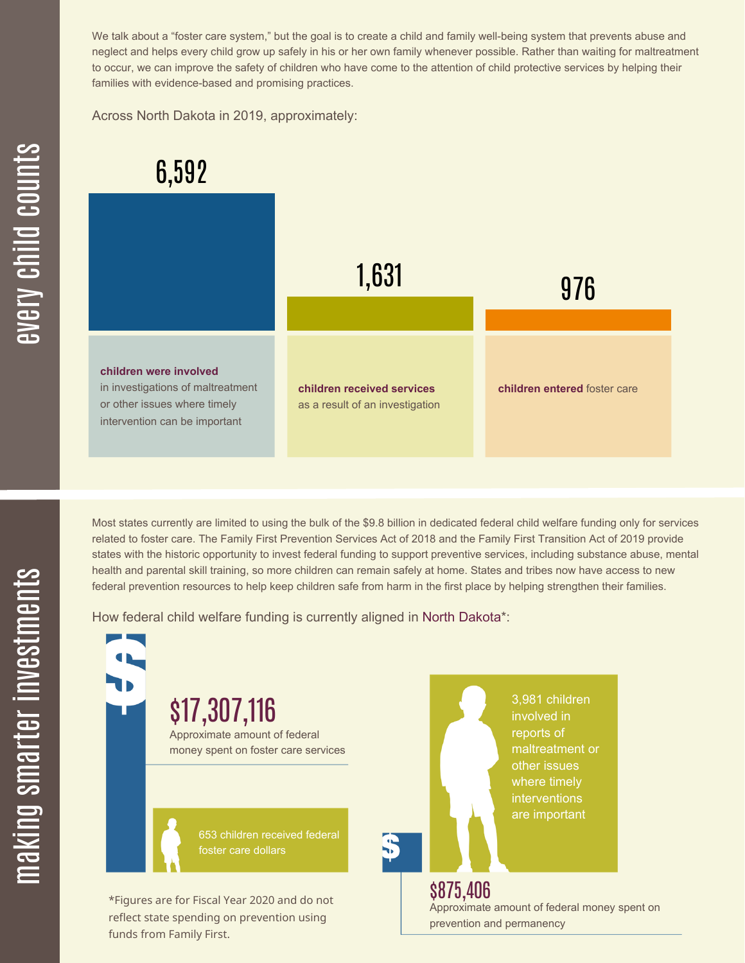We talk about a "foster care system," but the goal is to create a child and family well-being system that prevents abuse and neglect and helps every child grow up safely in his or her own family whenever possible. Rather than waiting for maltreatment to occur, we can improve the safety of children who have come to the attention of child protective services by helping their families with evidence-based and promising practices.

Across North Dakota in 2019, approximately:



Most states currently are limited to using the bulk of the \$9.8 billion in dedicated federal child welfare funding only for services related to foster care. The Family First Prevention Services Act of 2018 and the Family First Transition Act of 2019 provide states with the historic opportunity to invest federal funding to support preventive services, including substance abuse, mental health and parental skill training, so more children can remain safely at home. States and tribes now have access to new federal prevention resources to help keep children safe from harm in the first place by helping strengthen their families.

How federal child welfare funding is currently aligned in North Dakota\*:

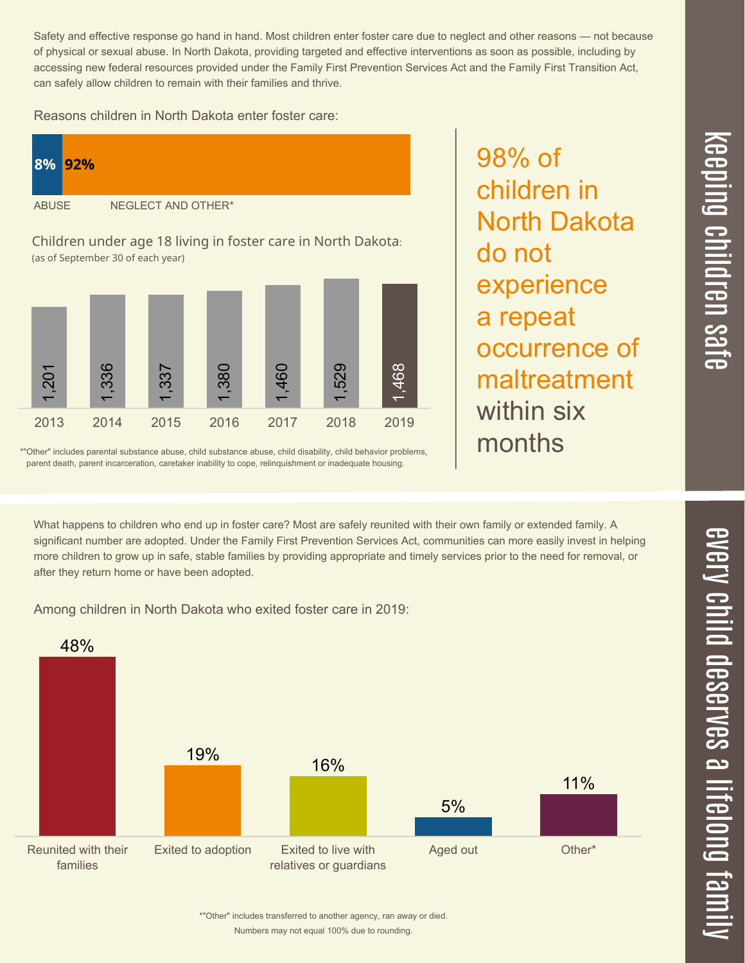Numbers may not equal 100% due to rounding.

\*"Other" includes transferred to another agency, ran away or died.

Safety and effective response go hand in hand. Most children enter foster care due to neglect and other reasons — not because of physical or sexual abuse. In North Dakota, providing targeted and effective interventions as soon as possible, including by accessing new federal resources provided under the Family First Prevention Services Act and the Family First Transition Act, can safely allow children to remain with their families and thrive.

Reasons children in North Dakota enter foster care:



\*"Other" includes parental substance abuse, child substance abuse, child disability, child behavior problems, parent death, parent incarceration, caretaker inability to cope, relinquishment or inadequate housing.

What happens to children who end up in foster care? Most are safely reunited with their own family or extended family. A significant number are adopted. Under the Family First Prevention Services Act, communities can more easily invest in helping more children to grow up in safe, stable families by providing appropriate and timely services prior to the need for removal, or after they return home or have been adopted.

Among children in North Dakota who exited foster care in 2019:



98% of children in North Dakota do not experience a repeat occurrence of maltreatment within six months

 $\overline{\mathbf{C}}$  $\leq$  $\overline{\mathbf{C}}$  $\overline{\mathsf{Z}}$  $\overline{\mathbf{C}}$ 

 $\equiv$ 

 $\blacksquare$ e  $\boldsymbol{\mathcal{C}}$  $\overline{\mathbf{C}}$  $\overline{\phantom{a}}$  $\overline{\mathbf{C}}$  $\mathcal{C}$ <u>م</u>

 $\equiv$ 

el<br>O  $\overline{\phantom{0}}$  $\blacksquare$ 

t<br>B

mily